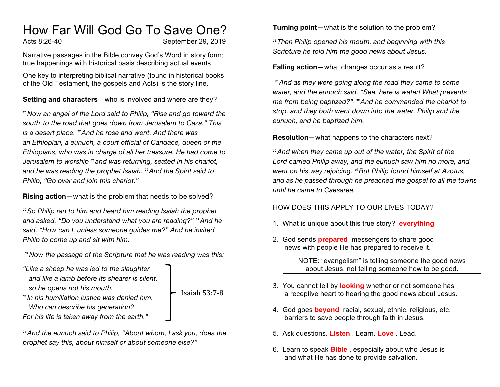## How Far Will God Go To Save One?

Acts 8:26-40 September 29, 2019

Isaiah 53:7-8

Narrative passages in the Bible convey God's Word in story form; true happenings with historical basis describing actual events.

One key to interpreting biblical narrative (found in historical books of the Old Testament, the gospels and Acts) is the story line.

**Setting and characters**—who is involved and where are they?

*<sup>26</sup>Now an angel of the Lord said to Philip, "Rise and go toward the south[a] to the road that goes down from Jerusalem to Gaza." This is a desert place. <sup>27</sup>And he rose and went. And there was an Ethiopian, a eunuch, a court official of Candace, queen of the Ethiopians, who was in charge of all her treasure. He had come to Jerusalem to worship <sup>28</sup> and was returning, seated in his chariot, and he was reading the prophet Isaiah. <sup>29</sup>And the Spirit said to Philip, "Go over and join this chariot."*

**Rising action**—what is the problem that needs to be solved?

*<sup>30</sup>So Philip ran to him and heard him reading Isaiah the prophet and asked, "Do you understand what you are reading?" <sup>31</sup>And he said, "How can I, unless someone guides me?" And he invited Philip to come up and sit with him.*

*<sup>32</sup>Now the passage of the Scripture that he was reading was this:*

*"Like a sheep he was led to the slaughter and like a lamb before its shearer is silent, so he opens not his mouth.*

*<sup>33</sup> In his humiliation justice was denied him. Who can describe his generation? For his life is taken away from the earth."*

*<sup>34</sup>And the eunuch said to Philip, "About whom, I ask you, does the prophet say this, about himself or about someone else?"*

**Turning point**—what is the solution to the problem?

*<sup>35</sup>Then Philip opened his mouth, and beginning with this Scripture he told him the good news about Jesus.*

**Falling action**—what changes occur as a result?

*<sup>36</sup>And as they were going along the road they came to some water, and the eunuch said, "See, here is water! What prevents me from being baptized?"[b] <sup>38</sup>And he commanded the chariot to stop, and they both went down into the water, Philip and the eunuch, and he baptized him.*

**Resolution**—what happens to the characters next?

*<sup>39</sup>And when they came up out of the water, the Spirit of the Lord carried Philip away, and the eunuch saw him no more, and went on his way rejoicing. <sup>40</sup>But Philip found himself at Azotus, and as he passed through he preached the gospel to all the towns until he came to Caesarea.*

## HOW DOES THIS APPLY TO OUR LIVES TODAY?

- 1. What is unique about this true story? **everything**
- 2. God sends **prepared** messengers to share good news with people He has prepared to receive it.

NOTE: "evangelism" is telling someone the good news about Jesus, not telling someone how to be good.

- 3. You cannot tell by **looking** whether or not someone has a receptive heart to hearing the good news about Jesus.
- 4. God goes **beyond** racial, sexual, ethnic, religious, etc. barriers to save people through faith in Jesus.
- 5. Ask questions. **Listen** . Learn. **Love** . Lead.
- 6. Learn to speak **Bible** , especially about who Jesus is and what He has done to provide salvation.